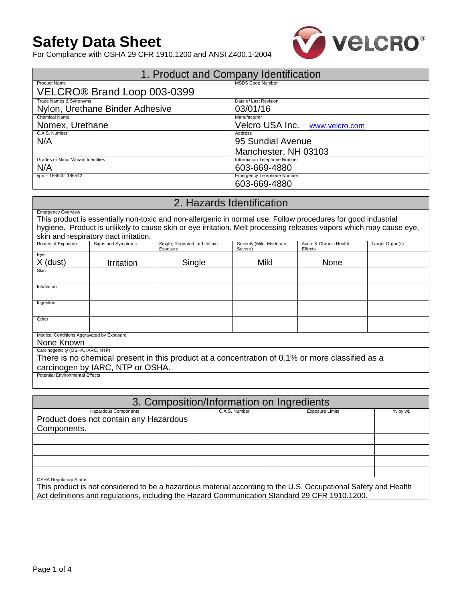# **Safety Data Sheet**



For Compliance with OSHA 29 CFR 1910.1200 and ANSI Z400.1-2004

|                                           | 1. Product and Company Identification |
|-------------------------------------------|---------------------------------------|
| <b>Product Name</b>                       | <b>MSDS Code Number</b>               |
| VELCRO <sup>®</sup> Brand Loop 003-0399   |                                       |
| Trade Names & Synonyms                    | Date of Last Revision                 |
| Nylon, Urethane Binder Adhesive           | 03/01/16                              |
| <b>Chemical Name</b>                      | Manufacturer                          |
| Nomex, Urethane                           | Velcro USA Inc. www.velcro.com        |
| C.A.S. Number                             | Address                               |
| N/A                                       | 95 Sundial Avenue                     |
|                                           | Manchester, NH 03103                  |
| <b>Grades or Minor Variant Identities</b> | Information Telephone Number          |
| N/A                                       | 603-669-4880                          |
| vpn - 186540, 186542                      | Emergency Telephone Number            |
|                                           | 603-669-4880                          |

# 2. Hazards Identification

Emergency Overview This product is essentially non-toxic and non-allergenic in normal use. Follow procedures for good industrial hygiene. Product is unlikely to cause skin or eye irritation. Melt processing releases vapors which may cause eye, skin and respiratory tract irritation.

| Routes of Exposure                                                                              | Signs and Symptoms              | Single, Repeated, or Lifetime<br>Exposure | Severity (Mild, Moderate,<br>Severe) | Acute & Chronic Health<br>Effects | Target Organ(s) |
|-------------------------------------------------------------------------------------------------|---------------------------------|-------------------------------------------|--------------------------------------|-----------------------------------|-----------------|
| Eye                                                                                             |                                 |                                           |                                      |                                   |                 |
| $X$ (dust)                                                                                      | <i><b>Irritation</b></i>        | Single                                    | Mild                                 | None                              |                 |
| Skin                                                                                            |                                 |                                           |                                      |                                   |                 |
|                                                                                                 |                                 |                                           |                                      |                                   |                 |
| Inhalation                                                                                      |                                 |                                           |                                      |                                   |                 |
|                                                                                                 |                                 |                                           |                                      |                                   |                 |
| Ingestion                                                                                       |                                 |                                           |                                      |                                   |                 |
|                                                                                                 |                                 |                                           |                                      |                                   |                 |
| Other                                                                                           |                                 |                                           |                                      |                                   |                 |
|                                                                                                 |                                 |                                           |                                      |                                   |                 |
| Medical Conditions Aggravated by Exposure                                                       |                                 |                                           |                                      |                                   |                 |
| None Known                                                                                      |                                 |                                           |                                      |                                   |                 |
| Carcinogenicity (OSHA, IARC, NTP)                                                               |                                 |                                           |                                      |                                   |                 |
| There is no chemical present in this product at a concentration of 0.1% or more classified as a |                                 |                                           |                                      |                                   |                 |
| carcinogen by IARC, NTP or OSHA.                                                                |                                 |                                           |                                      |                                   |                 |
|                                                                                                 | Detential Furnizamental Filanta |                                           |                                      |                                   |                 |

Potential Environmental Effects

| 3. Composition/Information on Ingredients |               |                        |          |  |
|-------------------------------------------|---------------|------------------------|----------|--|
| <b>Hazardous Components</b>               | C.A.S. Number | <b>Exposure Limits</b> | % by wt. |  |
| Product does not contain any Hazardous    |               |                        |          |  |
| Components.                               |               |                        |          |  |
|                                           |               |                        |          |  |
|                                           |               |                        |          |  |
|                                           |               |                        |          |  |
|                                           |               |                        |          |  |
| <b>OSHA Regulatory Status</b>             |               |                        |          |  |

This product is not considered to be a hazardous material according to the U.S. Occupational Safety and Health Act definitions and regulations, including the Hazard Communication Standard 29 CFR 1910.1200.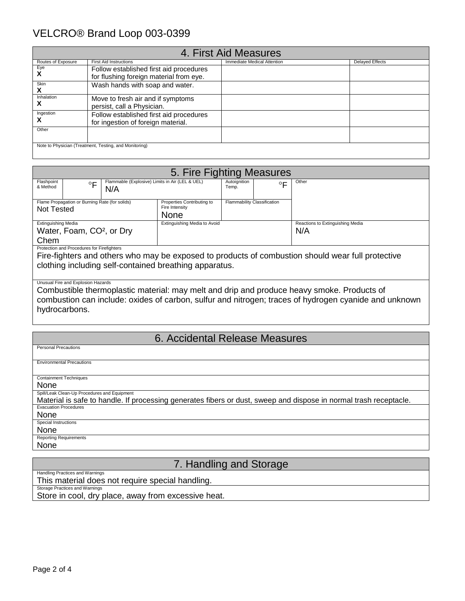## VELCRO® Brand Loop 003-0399

|                    |                                                        | 4. First Aid Measures       |                        |
|--------------------|--------------------------------------------------------|-----------------------------|------------------------|
| Routes of Exposure | <b>First Aid Instructions</b>                          | Immediate Medical Attention | <b>Delayed Effects</b> |
| Eye                | Follow established first aid procedures                |                             |                        |
| X                  | for flushing foreign material from eye.                |                             |                        |
| Skin<br>X          | Wash hands with soap and water.                        |                             |                        |
| Inhalation         | Move to fresh air and if symptoms                      |                             |                        |
| y                  | persist, call a Physician.                             |                             |                        |
| Ingestion          | Follow established first aid procedures                |                             |                        |
| x                  | for ingestion of foreign material.                     |                             |                        |
| Other              |                                                        |                             |                        |
|                    |                                                        |                             |                        |
|                    | Note to Physician (Treatment, Testing, and Monitoring) |                             |                        |

| 5. Fire Fighting Measures  |                                                |                                                        |                                              |                             |         |                                  |
|----------------------------|------------------------------------------------|--------------------------------------------------------|----------------------------------------------|-----------------------------|---------|----------------------------------|
| Flashpoint<br>& Method     | $\circ$                                        | Flammable (Explosive) Limits in Air (LEL & UEL)<br>N/A |                                              | Autoignition<br>Temp.       | $\circ$ | Other                            |
|                            | Flame Propagation or Burning Rate (for solids) |                                                        | Properties Contributing to<br>Fire Intensity | Flammability Classification |         |                                  |
| Not Tested                 |                                                |                                                        | <b>None</b>                                  |                             |         |                                  |
| <b>Extinguishing Media</b> |                                                |                                                        | Extinguishing Media to Avoid                 |                             |         | Reactions to Extinguishing Media |
|                            | Water, Foam, CO <sup>2</sup> , or Dry          |                                                        |                                              |                             |         | N/A                              |
| Chem                       |                                                |                                                        |                                              |                             |         |                                  |
|                            | Protection and Procedures for Firefighters     |                                                        |                                              |                             |         |                                  |

Fire-fighters and others who may be exposed to products of combustion should wear full protective clothing including self-contained breathing apparatus.

### Unusual Fire and Explosion Hazards

Combustible thermoplastic material: may melt and drip and produce heavy smoke. Products of combustion can include: oxides of carbon, sulfur and nitrogen; traces of hydrogen cyanide and unknown hydrocarbons.

## 6. Accidental Release Measures

| <b>Personal Precautions</b>                                                                                       |
|-------------------------------------------------------------------------------------------------------------------|
|                                                                                                                   |
| <b>Environmental Precautions</b>                                                                                  |
|                                                                                                                   |
| <b>Containment Techniques</b>                                                                                     |
| None                                                                                                              |
| Spill/Leak Clean-Up Procedures and Equipment                                                                      |
| Material is safe to handle. If processing generates fibers or dust, sweep and dispose in normal trash receptacle. |
| <b>Evacuation Procedures</b>                                                                                      |
| None                                                                                                              |
| Special Instructions                                                                                              |
| None                                                                                                              |
| <b>Reporting Requirements</b>                                                                                     |
| None                                                                                                              |

### 7. Handling and Storage

Handling Practices and Warnings This material does not require special handling.

Storage Practices and Warnings

Store in cool, dry place, away from excessive heat.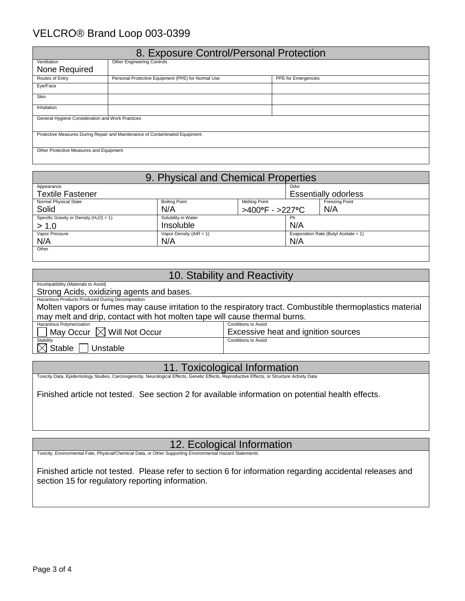## VELCRO® Brand Loop 003-0399

| 8. Exposure Control/Personal Protection                                     |                                                    |                            |  |  |
|-----------------------------------------------------------------------------|----------------------------------------------------|----------------------------|--|--|
| Ventilation                                                                 | <b>Other Engineering Controls</b>                  |                            |  |  |
| None Required                                                               |                                                    |                            |  |  |
| Routes of Entry                                                             | Personal Protective Equipment (PPE) for Normal Use | <b>PPE</b> for Emergencies |  |  |
| Eye/Face                                                                    |                                                    |                            |  |  |
| <b>Skin</b>                                                                 |                                                    |                            |  |  |
| Inhalation                                                                  |                                                    |                            |  |  |
| General Hygiene Consideration and Work Practices                            |                                                    |                            |  |  |
| Protective Measures During Repair and Maintenance of Contaminated Equipment |                                                    |                            |  |  |
| Other Protective Measures and Equipment                                     |                                                    |                            |  |  |

| 9. Physical and Chemical Properties        |                             |                                               |      |                                      |
|--------------------------------------------|-----------------------------|-----------------------------------------------|------|--------------------------------------|
| Appearance                                 |                             |                                               | Odor |                                      |
| <b>Textile Fastener</b>                    |                             |                                               |      | <b>Essentially odorless</b>          |
| Normal Physical State                      | <b>Boiling Point</b>        | <b>Melting Point</b><br><b>Freezing Point</b> |      |                                      |
| Solid                                      | N/A                         | N/A<br>>400°F - >227°C                        |      |                                      |
| Specific Gravity or Density $(H_2O) = 1$ ) | Solubility in Water         |                                               | Ph   |                                      |
| > 1.0                                      | Insoluble                   |                                               | N/A  |                                      |
| Vapor Pressure                             | Vapor Density ( $AIR = 1$ ) |                                               |      | Evaporation Rate (Butyl Acetate = 1) |
| N/A                                        | N/A                         |                                               | N/A  |                                      |
| Other                                      |                             |                                               |      |                                      |

| 10. Stability and Reactivity                                                                              |                                     |  |  |  |
|-----------------------------------------------------------------------------------------------------------|-------------------------------------|--|--|--|
| Incompatibility (Materials to Avoid)                                                                      |                                     |  |  |  |
| Strong Acids, oxidizing agents and bases.                                                                 |                                     |  |  |  |
| Hazardous Products Produced During Decomposition                                                          |                                     |  |  |  |
| Molten vapors or fumes may cause irritation to the respiratory tract. Combustible thermoplastics material |                                     |  |  |  |
| may melt and drip, contact with hot molten tape will cause thermal burns.                                 |                                     |  |  |  |
| Hazardous Polymerization                                                                                  | Conditions to Avoid                 |  |  |  |
| $\Box$ May Occur $\boxtimes$ Will Not Occur                                                               | Excessive heat and ignition sources |  |  |  |
| Stability                                                                                                 | Conditions to Avoid                 |  |  |  |
| $\boxtimes$ Stable<br>Unstable                                                                            |                                     |  |  |  |

Toxicity Data, Epidemiology Studies, Carcinogenicity, Neurological Effects, Genetic Effects, Reproductive Effects, or Structure Activity Data

Finished article not tested. See section 2 for available information on potential health effects.

12. Ecological Information

Toxicity, Environmental Fate, Physical/Chemical Data, or Other Supporting Environmental Hazard

Finished article not tested. Please refer to section 6 for information regarding accidental releases and section 15 for regulatory reporting information.